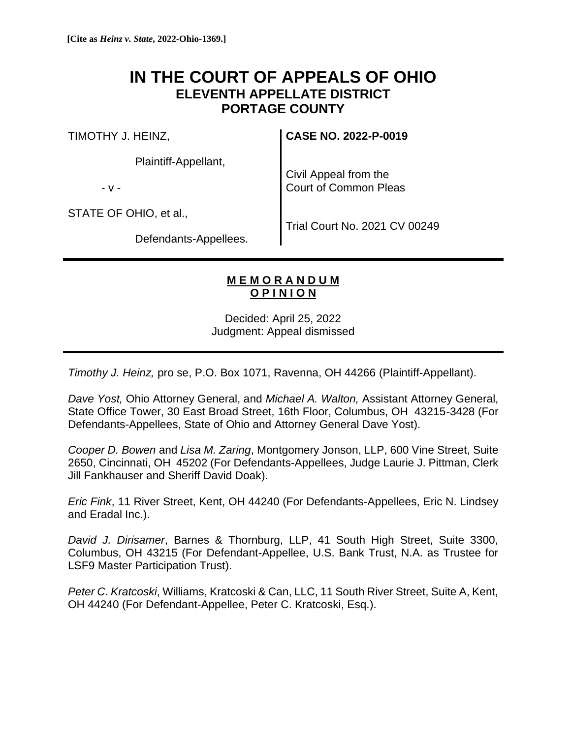## **IN THE COURT OF APPEALS OF OHIO ELEVENTH APPELLATE DISTRICT PORTAGE COUNTY**

TIMOTHY J. HEINZ,

Plaintiff-Appellant,

- v -

Civil Appeal from the Court of Common Pleas

**CASE NO. 2022-P-0019**

STATE OF OHIO, et al.,

Trial Court No. 2021 CV 00249

Defendants-Appellees.

## **M E M O R A N D U M O P I N I O N**

Decided: April 25, 2022 Judgment: Appeal dismissed

*Timothy J. Heinz,* pro se, P.O. Box 1071, Ravenna, OH 44266 (Plaintiff-Appellant).

*Dave Yost,* Ohio Attorney General, and *Michael A. Walton,* Assistant Attorney General, State Office Tower, 30 East Broad Street, 16th Floor, Columbus, OH 43215-3428 (For Defendants-Appellees, State of Ohio and Attorney General Dave Yost).

*Cooper D. Bowen* and *Lisa M. Zaring*, Montgomery Jonson, LLP, 600 Vine Street, Suite 2650, Cincinnati, OH 45202 (For Defendants-Appellees, Judge Laurie J. Pittman, Clerk Jill Fankhauser and Sheriff David Doak).

*Eric Fink*, 11 River Street, Kent, OH 44240 (For Defendants-Appellees, Eric N. Lindsey and Eradal Inc.).

*David J. Dirisamer*, Barnes & Thornburg, LLP, 41 South High Street, Suite 3300, Columbus, OH 43215 (For Defendant-Appellee, U.S. Bank Trust, N.A. as Trustee for LSF9 Master Participation Trust).

*Peter C. Kratcoski*, Williams, Kratcoski & Can, LLC, 11 South River Street, Suite A, Kent, OH 44240 (For Defendant-Appellee, Peter C. Kratcoski, Esq.).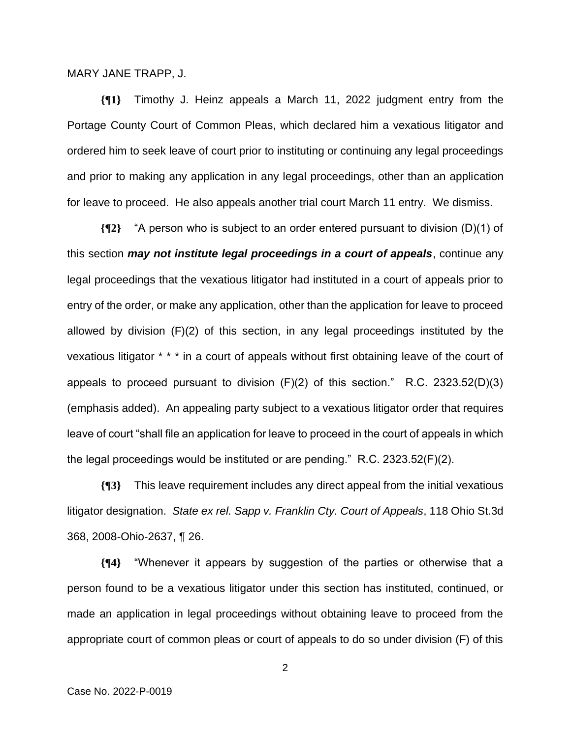MARY JANE TRAPP, J.

**{¶1}** Timothy J. Heinz appeals a March 11, 2022 judgment entry from the Portage County Court of Common Pleas, which declared him a vexatious litigator and ordered him to seek leave of court prior to instituting or continuing any legal proceedings and prior to making any application in any legal proceedings, other than an application for leave to proceed. He also appeals another trial court March 11 entry. We dismiss.

**{¶2}** "A person who is subject to an order entered pursuant to division (D)(1) of this section *may not institute legal proceedings in a court of appeals*, continue any legal proceedings that the vexatious litigator had instituted in a court of appeals prior to entry of the order, or make any application, other than the application for leave to proceed allowed by division (F)(2) of this section, in any legal proceedings instituted by the vexatious litigator \* \* \* in a court of appeals without first obtaining leave of the court of appeals to proceed pursuant to division (F)(2) of this section." R.C. 2323.52(D)(3) (emphasis added). An appealing party subject to a vexatious litigator order that requires leave of court "shall file an application for leave to proceed in the court of appeals in which the legal proceedings would be instituted or are pending." R.C. 2323.52(F)(2).

**{¶3}** This leave requirement includes any direct appeal from the initial vexatious litigator designation. *State ex rel. Sapp v. Franklin Cty. Court of Appeals*, 118 Ohio St.3d 368, 2008-Ohio-2637, ¶ 26.

**{¶4}** "Whenever it appears by suggestion of the parties or otherwise that a person found to be a vexatious litigator under this section has instituted, continued, or made an application in legal proceedings without obtaining leave to proceed from the appropriate court of common pleas or court of appeals to do so under division (F) of this

2